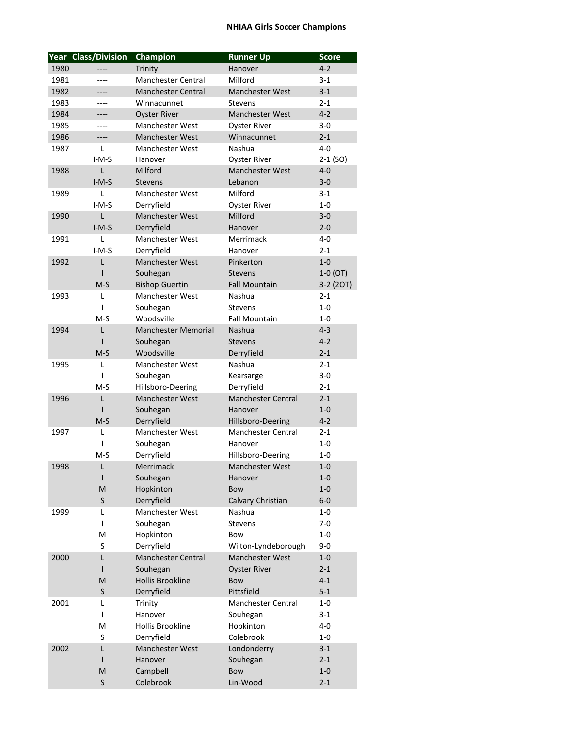## **NHIAA Girls Soccer Champions**

|      | <b>Year Class/Division</b> | <b>Champion</b>            | <b>Runner Up</b>          | <b>Score</b> |
|------|----------------------------|----------------------------|---------------------------|--------------|
| 1980 | ----                       | Trinity                    | Hanover                   | $4 - 2$      |
| 1981 | ----                       | <b>Manchester Central</b>  | Milford                   | $3-1$        |
| 1982 | ----                       | <b>Manchester Central</b>  | <b>Manchester West</b>    | $3 - 1$      |
| 1983 | ----                       | Winnacunnet                | <b>Stevens</b>            | $2 - 1$      |
| 1984 | ----                       | <b>Oyster River</b>        | <b>Manchester West</b>    | $4 - 2$      |
| 1985 | ----                       | <b>Manchester West</b>     | <b>Oyster River</b>       | $3 - 0$      |
| 1986 | ----                       | <b>Manchester West</b>     | Winnacunnet               | $2 - 1$      |
| 1987 | L                          | <b>Manchester West</b>     | Nashua                    | $4 - 0$      |
|      | $I-M-S$                    | Hanover                    | <b>Oyster River</b>       | $2-1$ (SO)   |
| 1988 | L                          | Milford                    | <b>Manchester West</b>    | $4 - 0$      |
|      | $I-M-S$                    | <b>Stevens</b>             | Lebanon                   | $3 - 0$      |
| 1989 | L                          | <b>Manchester West</b>     | Milford                   | $3-1$        |
|      | $I-M-S$                    | Derryfield                 | <b>Oyster River</b>       | $1-0$        |
| 1990 | L                          | <b>Manchester West</b>     | Milford                   | $3 - 0$      |
|      | $I-M-S$                    | Derryfield                 | Hanover                   | $2 - 0$      |
| 1991 | L                          | <b>Manchester West</b>     | Merrimack                 | 4-0          |
|      | $I-M-S$                    | Derryfield                 | Hanover                   | $2 - 1$      |
| 1992 | L                          | <b>Manchester West</b>     | Pinkerton                 | $1-0$        |
|      | ı                          | Souhegan                   | <b>Stevens</b>            | $1-0$ (OT)   |
|      | $M-S$                      | <b>Bishop Guertin</b>      | <b>Fall Mountain</b>      | 3-2 (2OT)    |
| 1993 | L                          | <b>Manchester West</b>     | Nashua                    | $2 - 1$      |
|      | ı                          | Souhegan                   | <b>Stevens</b>            | $1 - 0$      |
|      | $M-S$                      | Woodsville                 | <b>Fall Mountain</b>      | $1-0$        |
| 1994 | L                          | <b>Manchester Memorial</b> | <b>Nashua</b>             | $4 - 3$      |
|      | ı                          | Souhegan                   | <b>Stevens</b>            | $4 - 2$      |
|      | $M-S$                      | Woodsville                 | Derryfield                | $2 - 1$      |
| 1995 | L                          | <b>Manchester West</b>     | Nashua                    | $2 - 1$      |
|      | I                          | Souhegan                   | Kearsarge                 | $3-0$        |
|      | $M-S$                      | Hillsboro-Deering          | Derryfield                | $2 - 1$      |
| 1996 | L                          | <b>Manchester West</b>     | <b>Manchester Central</b> | $2 - 1$      |
|      | ı                          | Souhegan                   | Hanover                   | $1-0$        |
|      | $M-S$                      | Derryfield                 | Hillsboro-Deering         | $4 - 2$      |
| 1997 | L                          | <b>Manchester West</b>     | <b>Manchester Central</b> | $2 - 1$      |
|      | ı                          | Souhegan                   | Hanover                   | $1-0$        |
|      | $M-S$                      | Derryfield                 | Hillsboro-Deering         | 1-0          |
| 1998 | L                          | Merrimack                  | <b>Manchester West</b>    | $1 - 0$      |
|      | I                          | Souhegan                   | Hanover                   | $1 - 0$      |
|      | M                          | Hopkinton                  | <b>Bow</b>                | $1-0$        |
|      | S                          | Derryfield                 | Calvary Christian         | $6-0$        |
| 1999 | L                          | Manchester West            | Nashua                    | $1-0$        |
|      | I                          | Souhegan                   | <b>Stevens</b>            | $7-0$        |
|      | M                          | Hopkinton                  | Bow                       | $1-0$        |
|      | S                          | Derryfield                 | Wilton-Lyndeborough       | $9 - 0$      |
| 2000 | L                          | Manchester Central         | Manchester West           | $1-0$        |
|      | $\mathsf{I}$               | Souhegan                   | <b>Oyster River</b>       | $2 - 1$      |
|      | M                          | <b>Hollis Brookline</b>    | <b>Bow</b>                | $4 - 1$      |
|      |                            |                            | Pittsfield                |              |
|      | S                          | Derryfield                 | Manchester Central        | $5 - 1$      |
| 2001 | L                          | Trinity                    |                           | 1-0          |
|      | I                          | Hanover                    | Souhegan                  | $3 - 1$      |
|      | M                          | Hollis Brookline           | Hopkinton                 | $4-0$        |
|      | S                          | Derryfield                 | Colebrook                 | $1-0$        |
| 2002 | L                          | Manchester West            | Londonderry               | $3 - 1$      |
|      | I                          | Hanover                    | Souhegan                  | $2 - 1$      |
|      | M                          | Campbell                   | <b>Bow</b>                | $1-0$        |
|      | S                          | Colebrook                  | Lin-Wood                  | $2 - 1$      |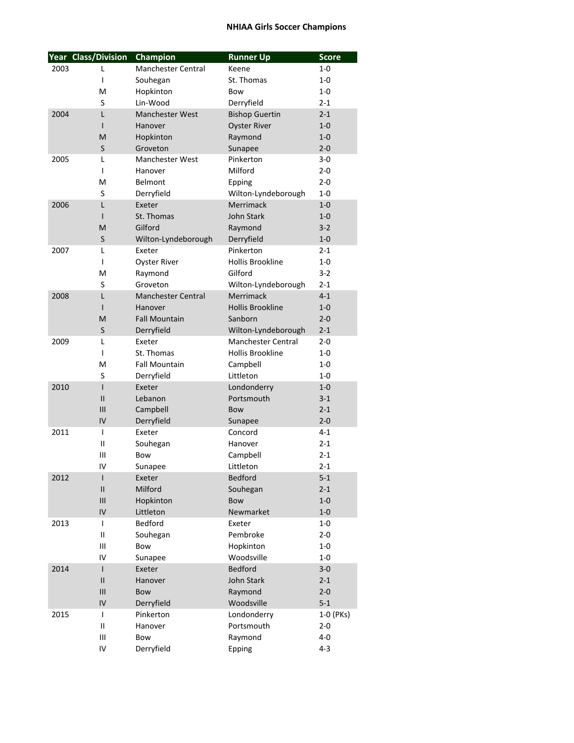## **NHIAA Girls Soccer Champions**

|      | Year Class/Division | Champion                  | <b>Runner Up</b>          | <b>Score</b> |
|------|---------------------|---------------------------|---------------------------|--------------|
| 2003 | L                   | <b>Manchester Central</b> | Keene                     | $1-0$        |
|      | $\mathsf{I}$        | Souhegan                  | St. Thomas                | $1 - 0$      |
|      | M                   | Hopkinton                 | Bow                       | $1 - 0$      |
|      | S                   | Lin-Wood                  | Derryfield                | $2 - 1$      |
| 2004 | L                   | <b>Manchester West</b>    | <b>Bishop Guertin</b>     | $2 - 1$      |
|      | $\mathbf{I}$        | Hanover                   | <b>Oyster River</b>       | $1 - 0$      |
|      | M                   | Hopkinton                 | Raymond                   | $1 - 0$      |
|      | S                   | Groveton                  | Sunapee                   | $2 - 0$      |
| 2005 | L                   | Manchester West           | Pinkerton                 | 3-0          |
|      | $\mathbf{I}$        | Hanover                   | Milford                   | $2 - 0$      |
|      | M                   | <b>Belmont</b>            | Epping                    | $2 - 0$      |
|      | S                   | Derryfield                | Wilton-Lyndeborough       | $1 - 0$      |
| 2006 | L                   | Exeter                    | Merrimack                 | $1-0$        |
|      | $\mathsf{I}$        | St. Thomas                | John Stark                | $1 - 0$      |
|      | M                   | Gilford                   | Raymond                   | $3 - 2$      |
|      | S                   | Wilton-Lyndeborough       | Derryfield                | $1 - 0$      |
| 2007 | L                   | Exeter                    | Pinkerton                 | $2 - 1$      |
|      | I                   | <b>Oyster River</b>       | <b>Hollis Brookline</b>   | $1-0$        |
|      | M                   | Raymond                   | Gilford                   | $3 - 2$      |
|      | S                   | Groveton                  | Wilton-Lyndeborough       | $2 - 1$      |
| 2008 | L                   | <b>Manchester Central</b> | Merrimack                 | $4 - 1$      |
|      | $\mathsf{I}$        | Hanover                   | <b>Hollis Brookline</b>   | $1 - 0$      |
|      | M                   | <b>Fall Mountain</b>      | Sanborn                   | $2 - 0$      |
|      | S                   | Derryfield                | Wilton-Lyndeborough       | $2 - 1$      |
| 2009 | L                   | Exeter                    | <b>Manchester Central</b> | $2 - 0$      |
|      | I                   | St. Thomas                | Hollis Brookline          | $1-0$        |
|      | M                   | <b>Fall Mountain</b>      | Campbell                  | 1-0          |
|      | S                   | Derryfield                | Littleton                 | 1-0          |
| 2010 | ı                   | Exeter                    | Londonderry               | $1 - 0$      |
|      | $\mathsf{II}$       | Lebanon                   | Portsmouth                | $3-1$        |
|      | Ш                   | Campbell                  | Bow                       | $2 - 1$      |
|      | IV                  | Derryfield                | Sunapee                   | $2 - 0$      |
| 2011 | $\mathsf{I}$        | Exeter                    | Concord                   | $4 - 1$      |
|      | Ш                   | Souhegan                  | Hanover                   | $2 - 1$      |
|      | Ш                   | Bow                       | Campbell                  | $2 - 1$      |
|      | IV                  | Sunapee                   | Littleton                 | $2 - 1$      |
| 2012 | $\mathsf{I}$        | Exeter                    | <b>Bedford</b>            | $5 - 1$      |
|      | $\mathsf{II}$       | Milford                   | Souhegan                  | $2 - 1$      |
|      | III                 | Hopkinton                 | <b>Bow</b>                | $1-0$        |
|      | IV                  | Littleton                 | Newmarket                 | $1-0$        |
| 2013 | $\mathsf{I}$        | Bedford                   | Exeter                    | $1-0$        |
|      | $\sf II$            | Souhegan                  | Pembroke                  | $2 - 0$      |
|      | Ш                   | Bow                       | Hopkinton                 | $1-0$        |
|      | IV                  | Sunapee                   | Woodsville                | $1-0$        |
| 2014 | $\mathsf{I}$        | Exeter                    | <b>Bedford</b>            | $3-0$        |
|      | $\mathsf{II}$       | Hanover                   | John Stark                | $2 - 1$      |
|      | III                 | Bow                       | Raymond                   | $2 - 0$      |
|      | IV                  | Derryfield                | Woodsville                | $5 - 1$      |
| 2015 | $\mathsf{I}$        | Pinkerton                 | Londonderry               | 1-0 (PKs)    |
|      | Ш                   | Hanover                   | Portsmouth                | $2 - 0$      |
|      | Ш                   | Bow                       | Raymond                   | $4 - 0$      |
|      | IV                  | Derryfield                | Epping                    | $4 - 3$      |